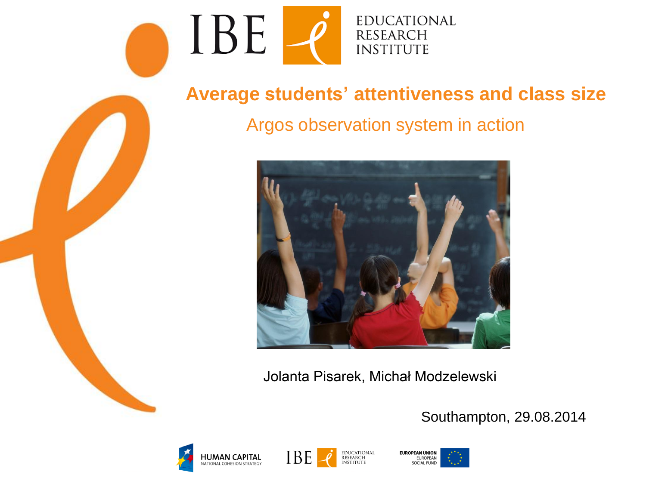

#### **Average students' attentiveness and class size**

#### Argos observation system in action



Jolanta Pisarek, Michał Modzelewski

Southampton, 29.08.2014





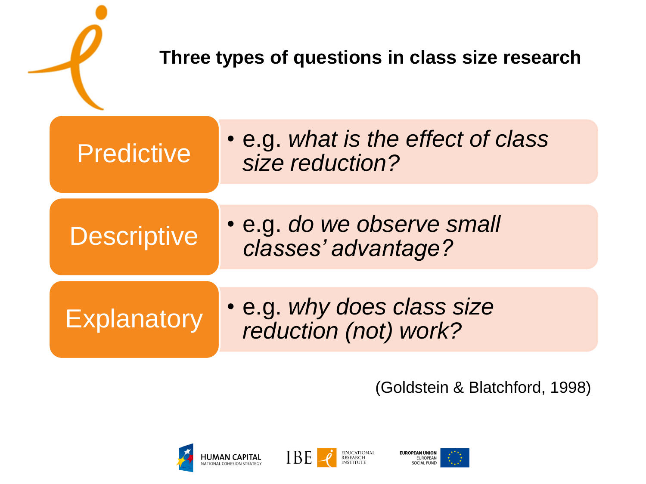| Three types of questions in class size research |                    |                                                       |
|-------------------------------------------------|--------------------|-------------------------------------------------------|
|                                                 | <b>Predictive</b>  | • e.g. what is the effect of class<br>size reduction? |
|                                                 | <b>Descriptive</b> | • e.g. do we observe small<br>classes' advantage?     |
|                                                 | <b>Explanatory</b> | . e.g. why does class size<br>reduction (not) work?   |

#### (Goldstein & Blatchford, 1998)





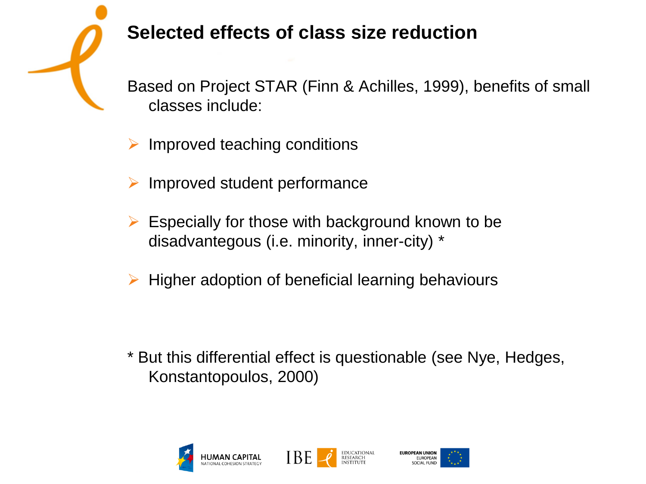# **Selected effects of class size reduction**

Based on Project STAR (Finn & Achilles, 1999), benefits of small classes include:

- $\triangleright$  Improved teaching conditions
- $\triangleright$  Improved student performance
- $\triangleright$  Especially for those with background known to be disadvantegous (i.e. minority, inner-city) \*
- $\triangleright$  Higher adoption of beneficial learning behaviours

\* But this differential effect is questionable (see Nye, Hedges, Konstantopoulos, 2000)







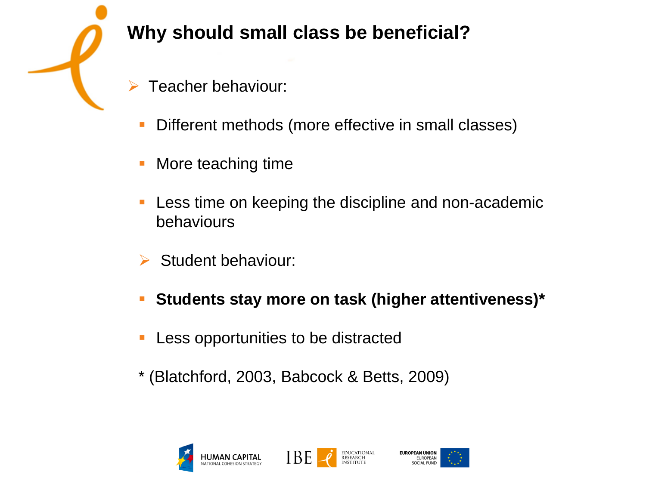**Why should small class be beneficial?**

- Teacher behaviour:
- Different methods (more effective in small classes)
- More teaching time
- Less time on keeping the discipline and non-academic behaviours
- Student behaviour:
- **Students stay more on task (higher attentiveness)\***
- Less opportunities to be distracted
- \* (Blatchford, 2003, Babcock & Betts, 2009)





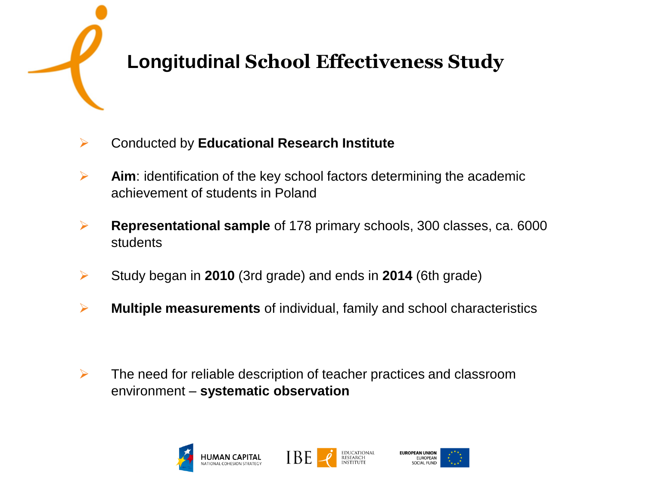# **Longitudinal School Effectiveness Study**

- Conducted by **Educational Research Institute**
- **Aim**: identification of the key school factors determining the academic achievement of students in Poland
- **Representational sample** of 178 primary schools, 300 classes, ca. 6000 students
- Study began in **2010** (3rd grade) and ends in **2014** (6th grade)
- **Multiple measurements** of individual, family and school characteristics

 $\triangleright$  The need for reliable description of teacher practices and classroom environment – **systematic observation**







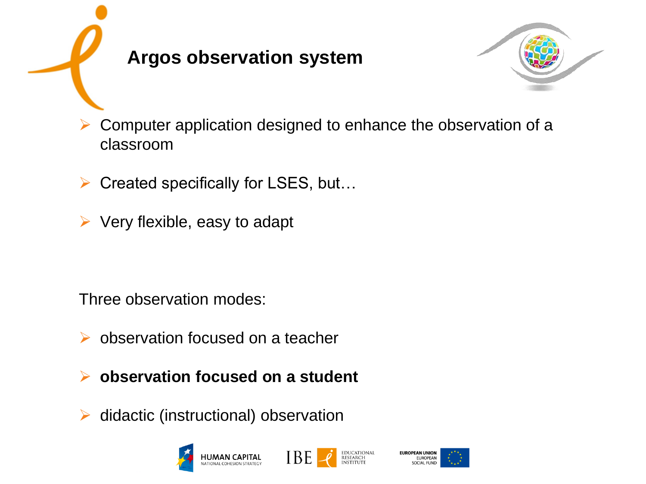



- Computer application designed to enhance the observation of a classroom
- $\triangleright$  Created specifically for LSES, but...
- $\triangleright$  Very flexible, easy to adapt

Three observation modes:

- **►** observation focused on a teacher
- **observation focused on a student**
- $\triangleright$  didactic (instructional) observation





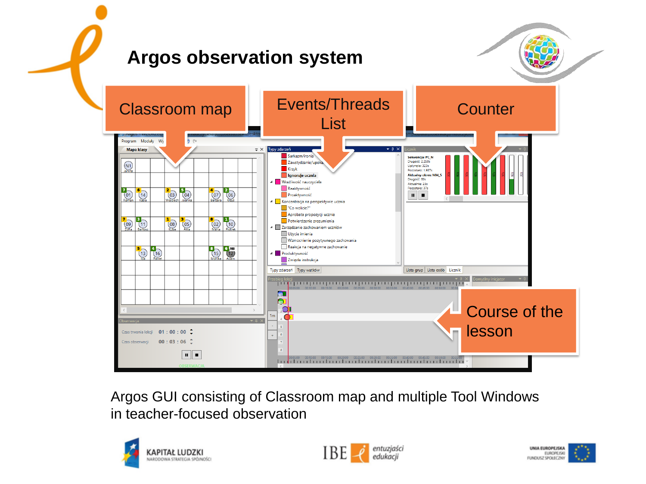#### **Argos observation system**



Argos GUI consisting of Classroom map and multiple Tool Windows in teacher-focused observation





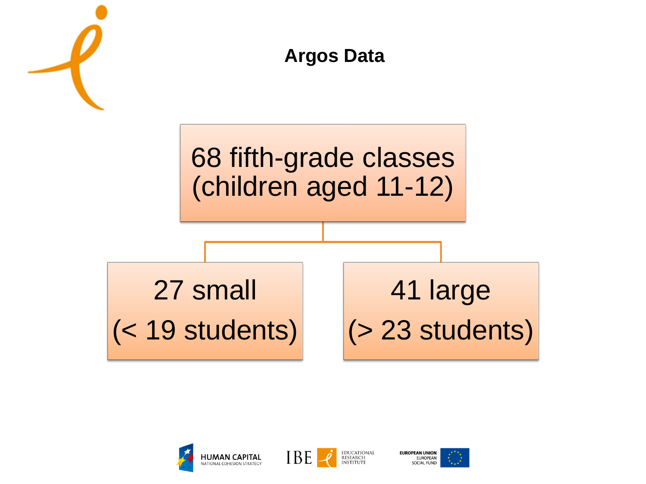





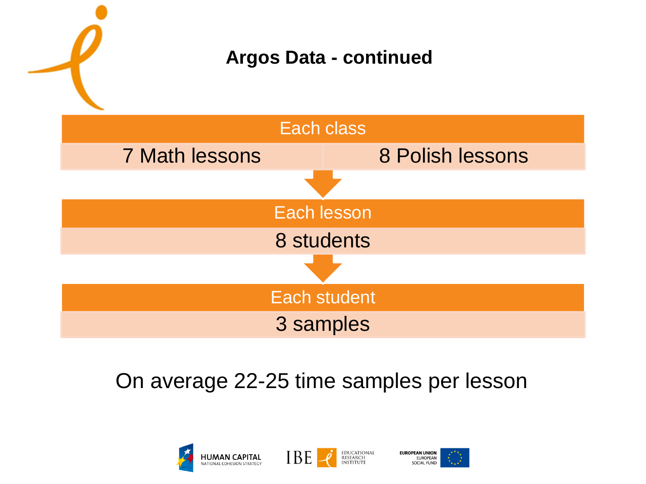

### On average 22-25 time samples per lesson







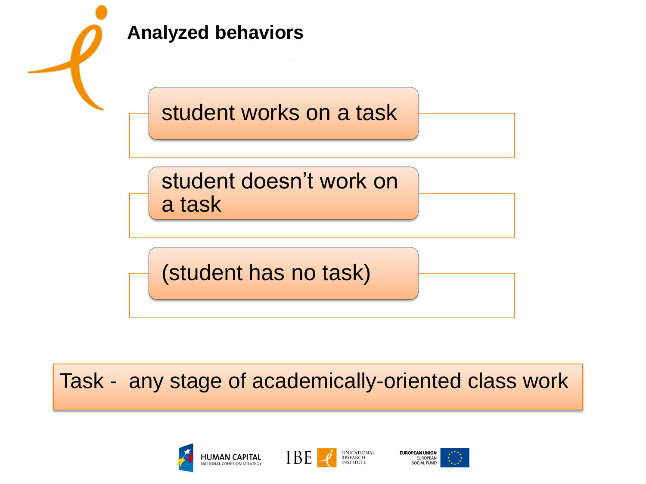

Task - any stage of academically-oriented class work







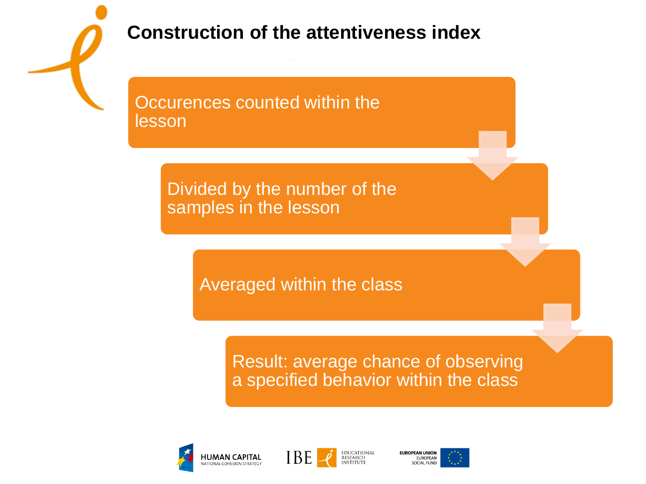

#### **Construction of the attentiveness index**

Occurences counted within the lesson

> Divided by the number of the samples in the lesson

> > Averaged within the class

Result: average chance of observing a specified behavior within the class







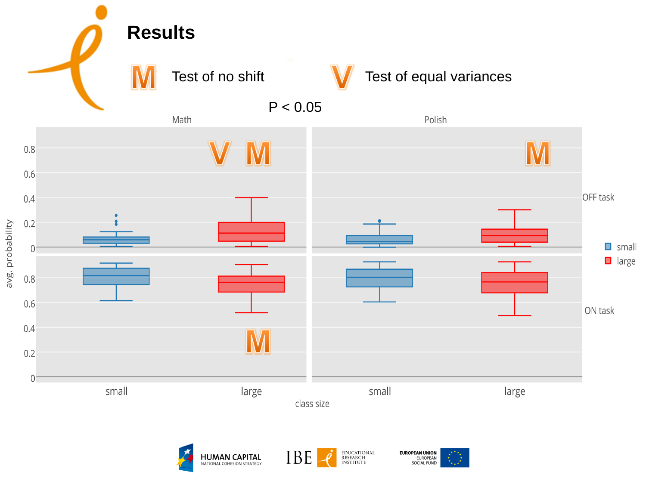





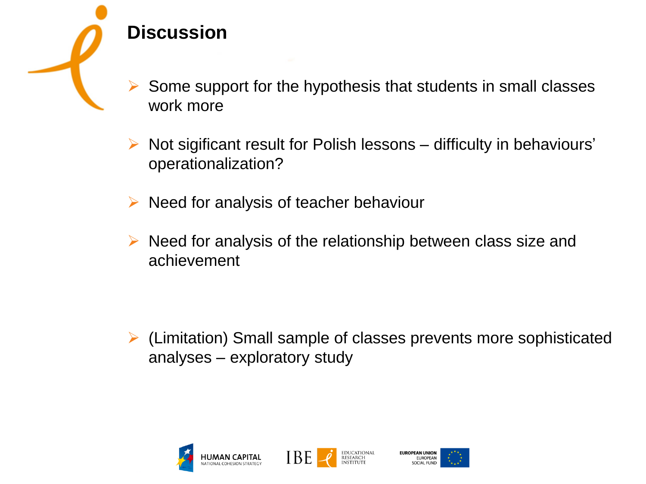

## **Discussion**

 Some support for the hypothesis that students in small classes work more

 $\triangleright$  Not sigificant result for Polish lessons – difficulty in behaviours' operationalization?

 $\triangleright$  Need for analysis of teacher behaviour

 $\triangleright$  Need for analysis of the relationship between class size and achievement

 (Limitation) Small sample of classes prevents more sophisticated analyses – exploratory study